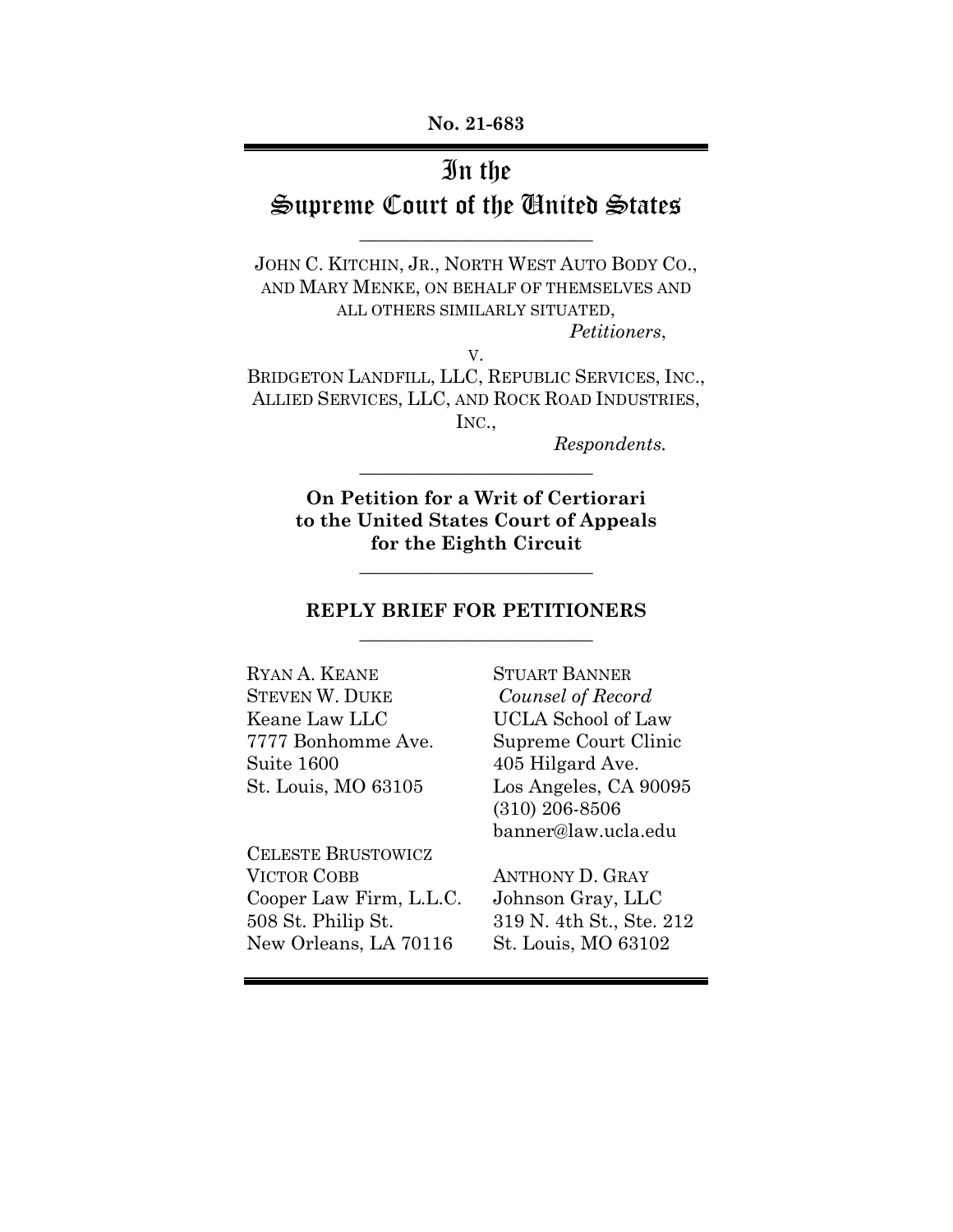## In the

# Supreme Court of the United States \_\_\_\_\_\_\_\_\_\_\_\_\_\_\_\_\_\_\_\_\_\_\_\_\_

JOHN C. KITCHIN, JR., NORTH WEST AUTO BODY CO., AND MARY MENKE, ON BEHALF OF THEMSELVES AND ALL OTHERS SIMILARLY SITUATED,

*Petitioners*,

BRIDGETON LANDFILL, LLC, REPUBLIC SERVICES, INC., ALLIED SERVICES, LLC, AND ROCK ROAD INDUSTRIES, INC.,

V.

*Respondents.*

**On Petition for a Writ of Certiorari to the United States Court of Appeals for the Eighth Circuit**

 $\overline{\mathcal{L}}$  , which is a set of the set of the set of the set of the set of the set of the set of the set of the set of the set of the set of the set of the set of the set of the set of the set of the set of the set of th

 $\overline{\mathcal{L}}$  , which is a set of the set of the set of the set of the set of the set of the set of the set of the set of the set of the set of the set of the set of the set of the set of the set of the set of the set of th

### **REPLY BRIEF FOR PETITIONERS** \_\_\_\_\_\_\_\_\_\_\_\_\_\_\_\_\_\_\_\_\_\_\_\_\_

RYAN A. KEANE STUART BANNER STEVEN W. DUKE *Counsel of Record* Keane Law LLC UCLA School of Law Suite 1600 405 Hilgard Ave.

CELESTE BRUSTOWICZ VICTOR COBB ANTHONY D. GRAY Cooper Law Firm, L.L.C. Johnson Gray, LLC 508 St. Philip St. 319 N. 4th St., Ste. 212 New Orleans, LA 70116 St. Louis, MO 63102

7777 Bonhomme Ave. Supreme Court Clinic St. Louis, MO 63105 Los Angeles, CA 90095 (310) 206-8506 banner@law.ucla.edu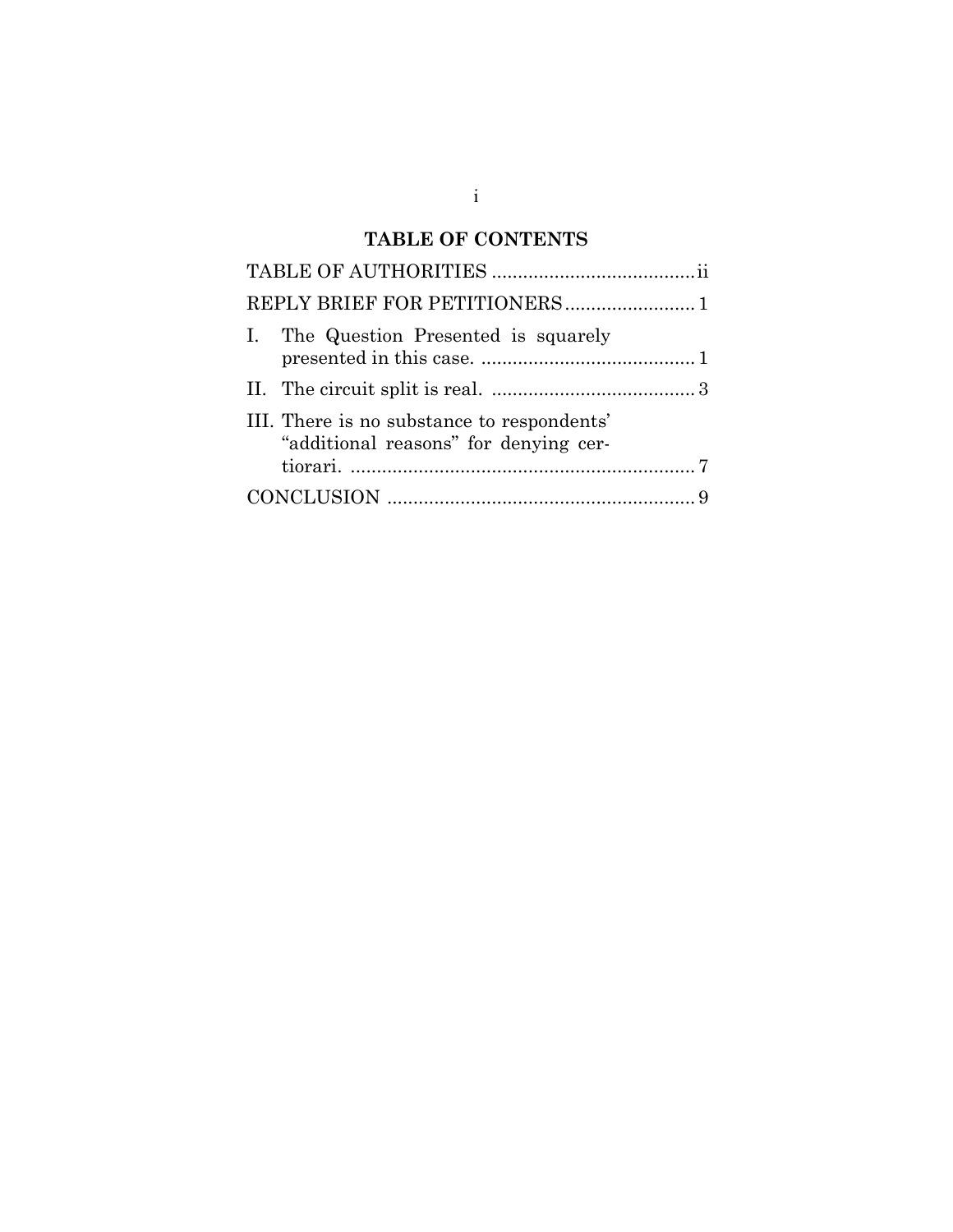## **TABLE OF CONTENTS**

i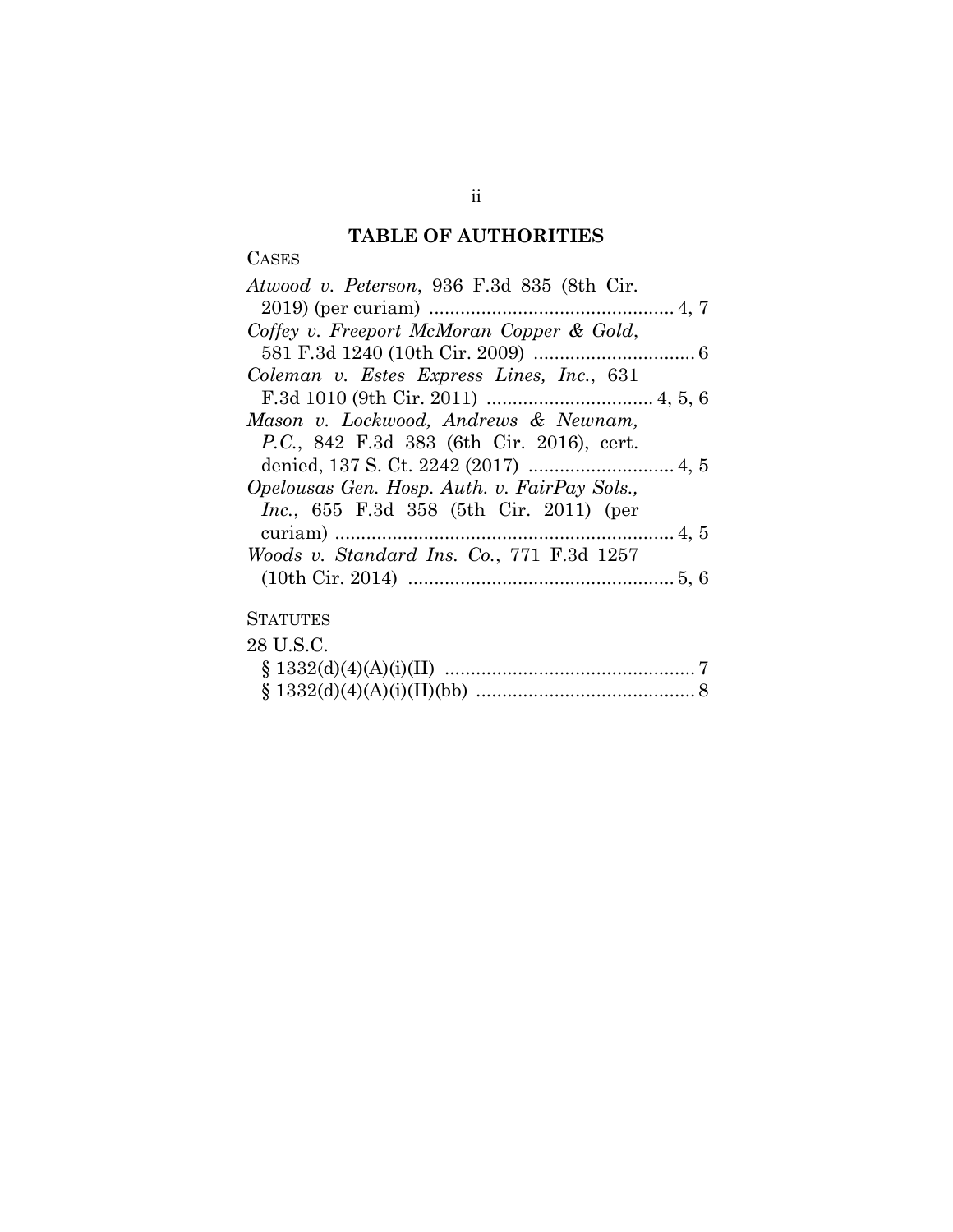## **TABLE OF AUTHORITIES**

**CASES** 

| Atwood v. Peterson, 936 F.3d 835 (8th Cir.        |
|---------------------------------------------------|
|                                                   |
| Coffey v. Freeport McMoran Copper & Gold,         |
|                                                   |
| Coleman v. Estes Express Lines, Inc., 631         |
|                                                   |
| Mason v. Lockwood, Andrews & Newnam,              |
| <i>P.C.</i> , 842 F.3d 383 (6th Cir. 2016), cert. |
|                                                   |
| Opelousas Gen. Hosp. Auth. v. FairPay Sols.,      |
| <i>Inc.</i> , 655 F.3d 358 (5th Cir. 2011) (per   |
|                                                   |
| Woods v. Standard Ins. Co., 771 F.3d 1257         |
|                                                   |
|                                                   |
| $C_{\rm I}$ a $m_{\rm I}$ m p $\alpha$            |

### **STATUTES**

| 28 U.S.C. |  |
|-----------|--|
|           |  |
|           |  |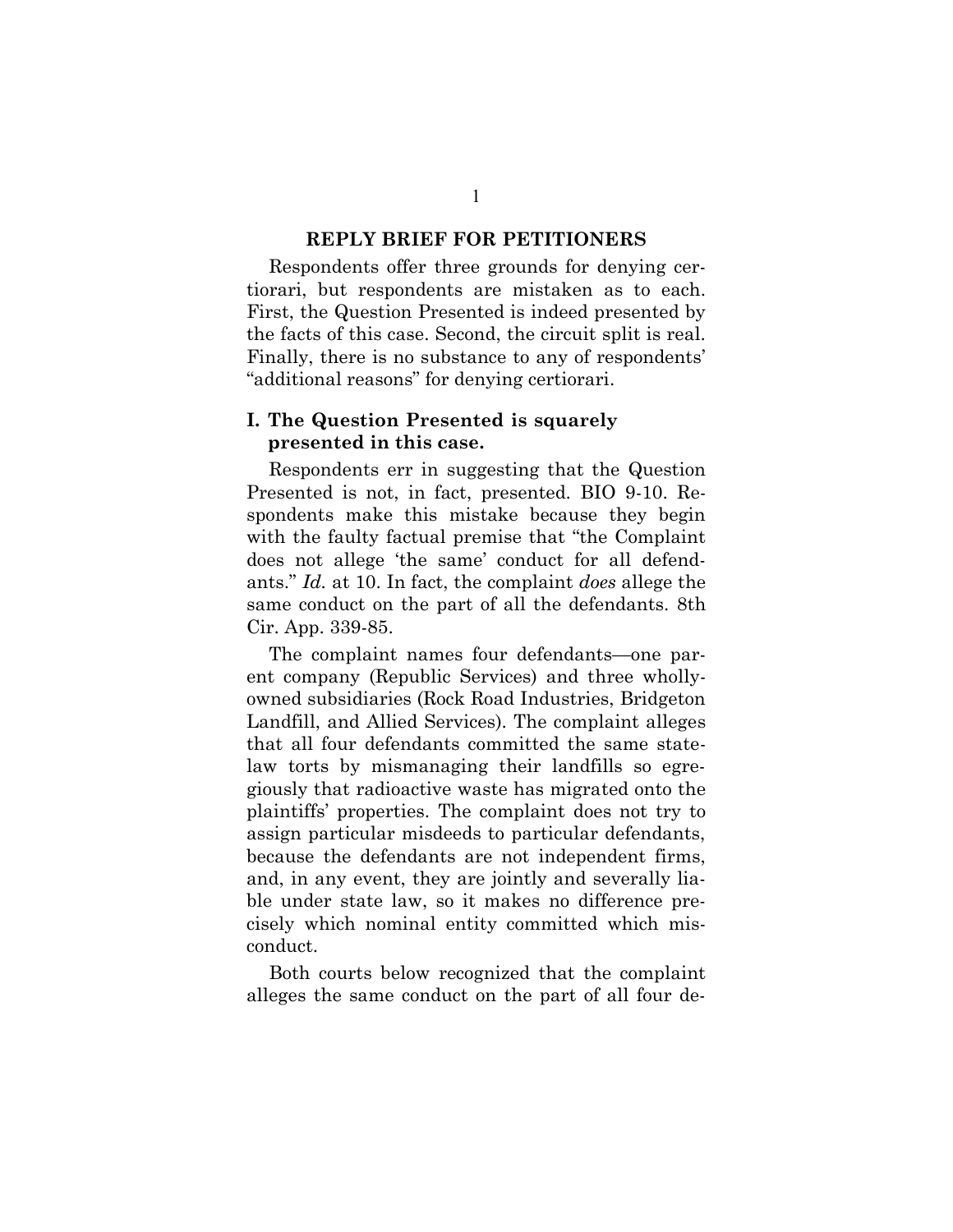#### **REPLY BRIEF FOR PETITIONERS**

Respondents offer three grounds for denying certiorari, but respondents are mistaken as to each. First, the Question Presented is indeed presented by the facts of this case. Second, the circuit split is real. Finally, there is no substance to any of respondents' "additional reasons" for denying certiorari.

### **I. The Question Presented is squarely presented in this case.**

Respondents err in suggesting that the Question Presented is not, in fact, presented. BIO 9-10. Respondents make this mistake because they begin with the faulty factual premise that "the Complaint does not allege 'the same' conduct for all defendants." *Id.* at 10. In fact, the complaint *does* allege the same conduct on the part of all the defendants. 8th Cir. App. 339-85.

The complaint names four defendants—one parent company (Republic Services) and three whollyowned subsidiaries (Rock Road Industries, Bridgeton Landfill, and Allied Services). The complaint alleges that all four defendants committed the same statelaw torts by mismanaging their landfills so egregiously that radioactive waste has migrated onto the plaintiffs' properties. The complaint does not try to assign particular misdeeds to particular defendants, because the defendants are not independent firms, and, in any event, they are jointly and severally liable under state law, so it makes no difference precisely which nominal entity committed which misconduct.

Both courts below recognized that the complaint alleges the same conduct on the part of all four de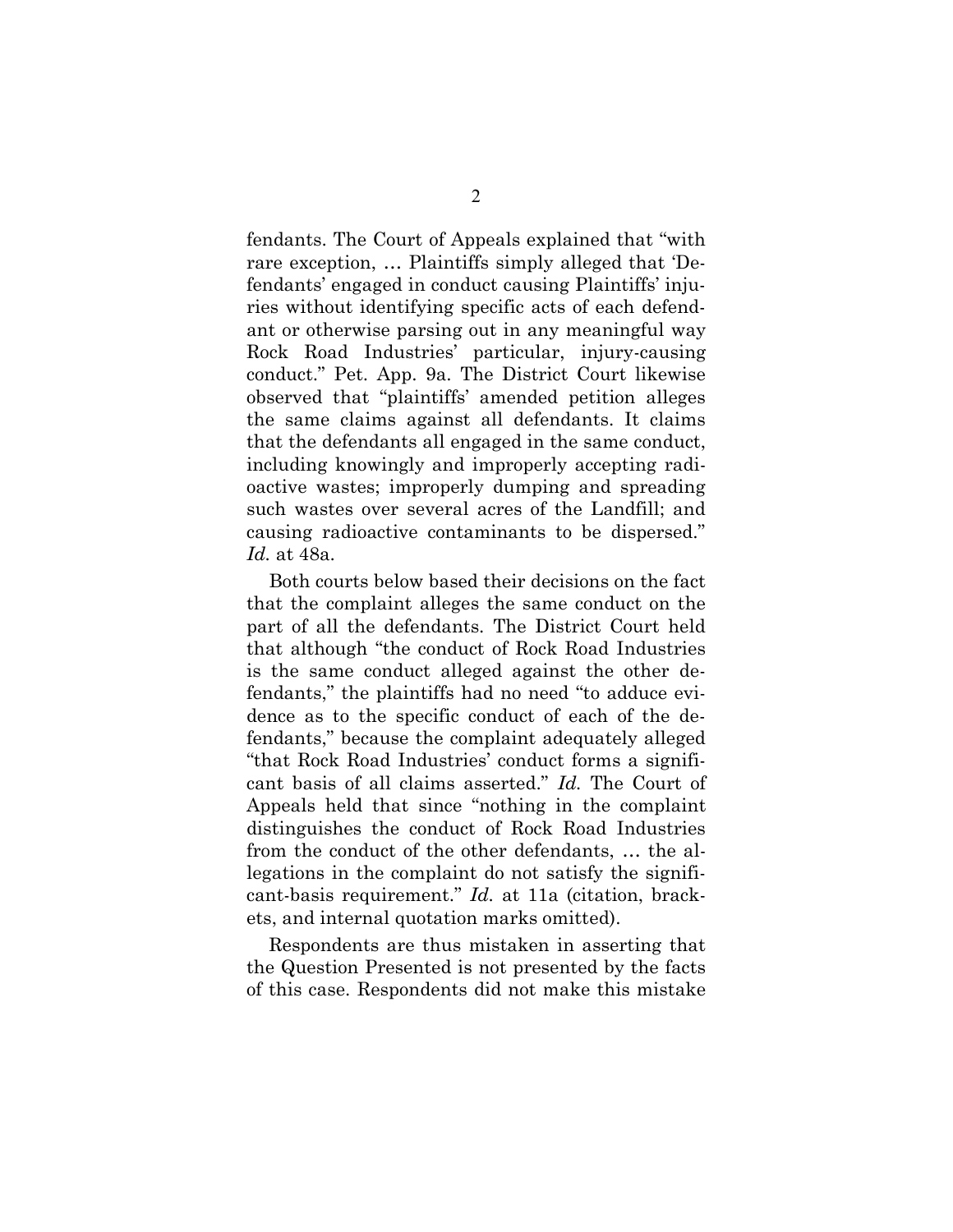fendants. The Court of Appeals explained that "with rare exception, … Plaintiffs simply alleged that 'Defendants' engaged in conduct causing Plaintiffs' injuries without identifying specific acts of each defendant or otherwise parsing out in any meaningful way Rock Road Industries' particular, injury-causing conduct." Pet. App. 9a. The District Court likewise observed that "plaintiffs' amended petition alleges the same claims against all defendants. It claims that the defendants all engaged in the same conduct, including knowingly and improperly accepting radioactive wastes; improperly dumping and spreading such wastes over several acres of the Landfill; and causing radioactive contaminants to be dispersed." *Id.* at 48a.

Both courts below based their decisions on the fact that the complaint alleges the same conduct on the part of all the defendants. The District Court held that although "the conduct of Rock Road Industries is the same conduct alleged against the other defendants," the plaintiffs had no need "to adduce evidence as to the specific conduct of each of the defendants," because the complaint adequately alleged "that Rock Road Industries' conduct forms a significant basis of all claims asserted." *Id.* The Court of Appeals held that since "nothing in the complaint distinguishes the conduct of Rock Road Industries from the conduct of the other defendants, … the allegations in the complaint do not satisfy the significant-basis requirement." *Id.* at 11a (citation, brackets, and internal quotation marks omitted).

Respondents are thus mistaken in asserting that the Question Presented is not presented by the facts of this case. Respondents did not make this mistake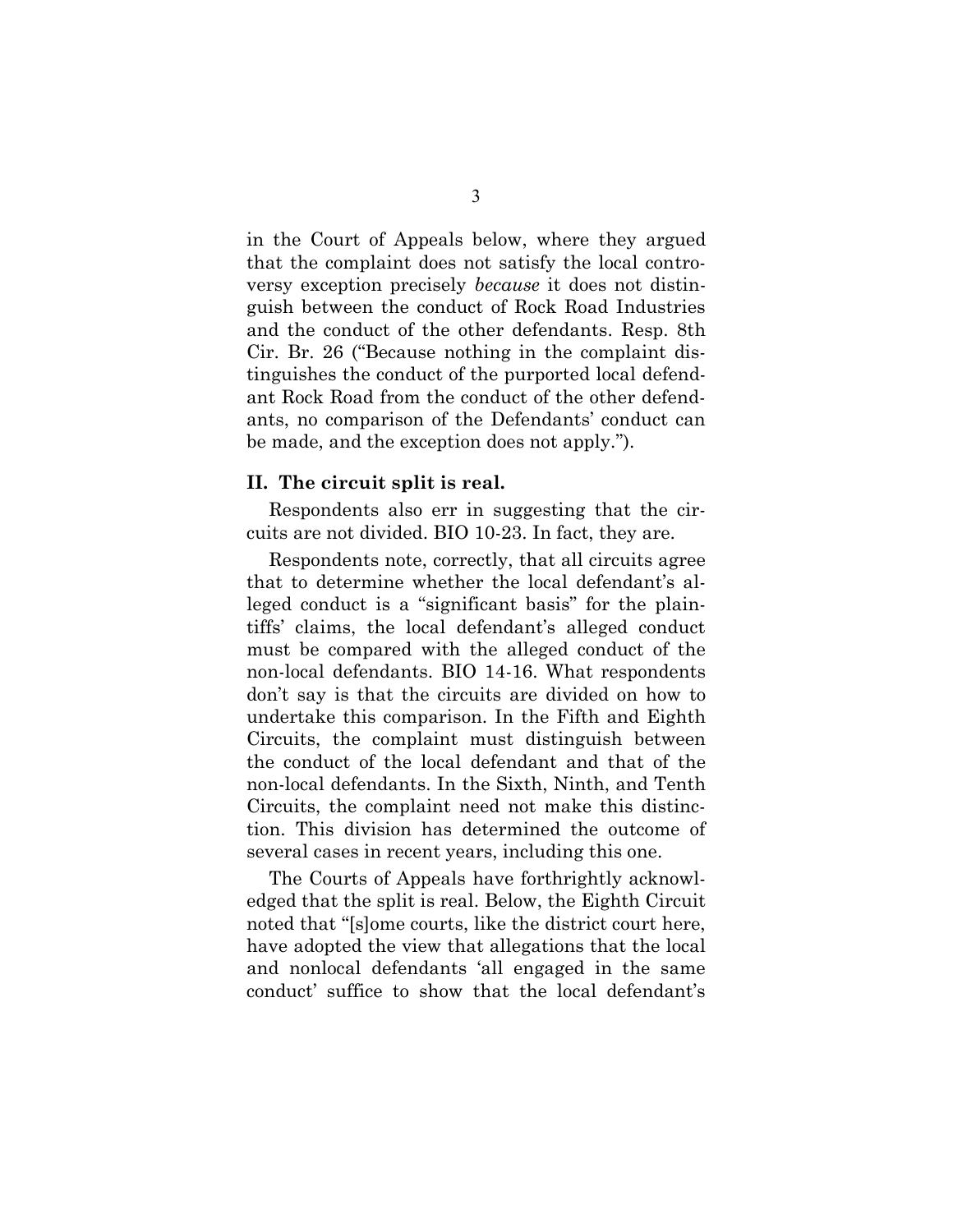in the Court of Appeals below, where they argued that the complaint does not satisfy the local controversy exception precisely *because* it does not distinguish between the conduct of Rock Road Industries and the conduct of the other defendants. Resp. 8th Cir. Br. 26 ("Because nothing in the complaint distinguishes the conduct of the purported local defendant Rock Road from the conduct of the other defendants, no comparison of the Defendants' conduct can be made, and the exception does not apply.").

#### **II. The circuit split is real.**

Respondents also err in suggesting that the circuits are not divided. BIO 10-23. In fact, they are.

Respondents note, correctly, that all circuits agree that to determine whether the local defendant's alleged conduct is a "significant basis" for the plaintiffs' claims, the local defendant's alleged conduct must be compared with the alleged conduct of the non-local defendants. BIO 14-16. What respondents don't say is that the circuits are divided on how to undertake this comparison. In the Fifth and Eighth Circuits, the complaint must distinguish between the conduct of the local defendant and that of the non-local defendants. In the Sixth, Ninth, and Tenth Circuits, the complaint need not make this distinction. This division has determined the outcome of several cases in recent years, including this one.

The Courts of Appeals have forthrightly acknowledged that the split is real. Below, the Eighth Circuit noted that "[s]ome courts, like the district court here, have adopted the view that allegations that the local and nonlocal defendants 'all engaged in the same conduct' suffice to show that the local defendant's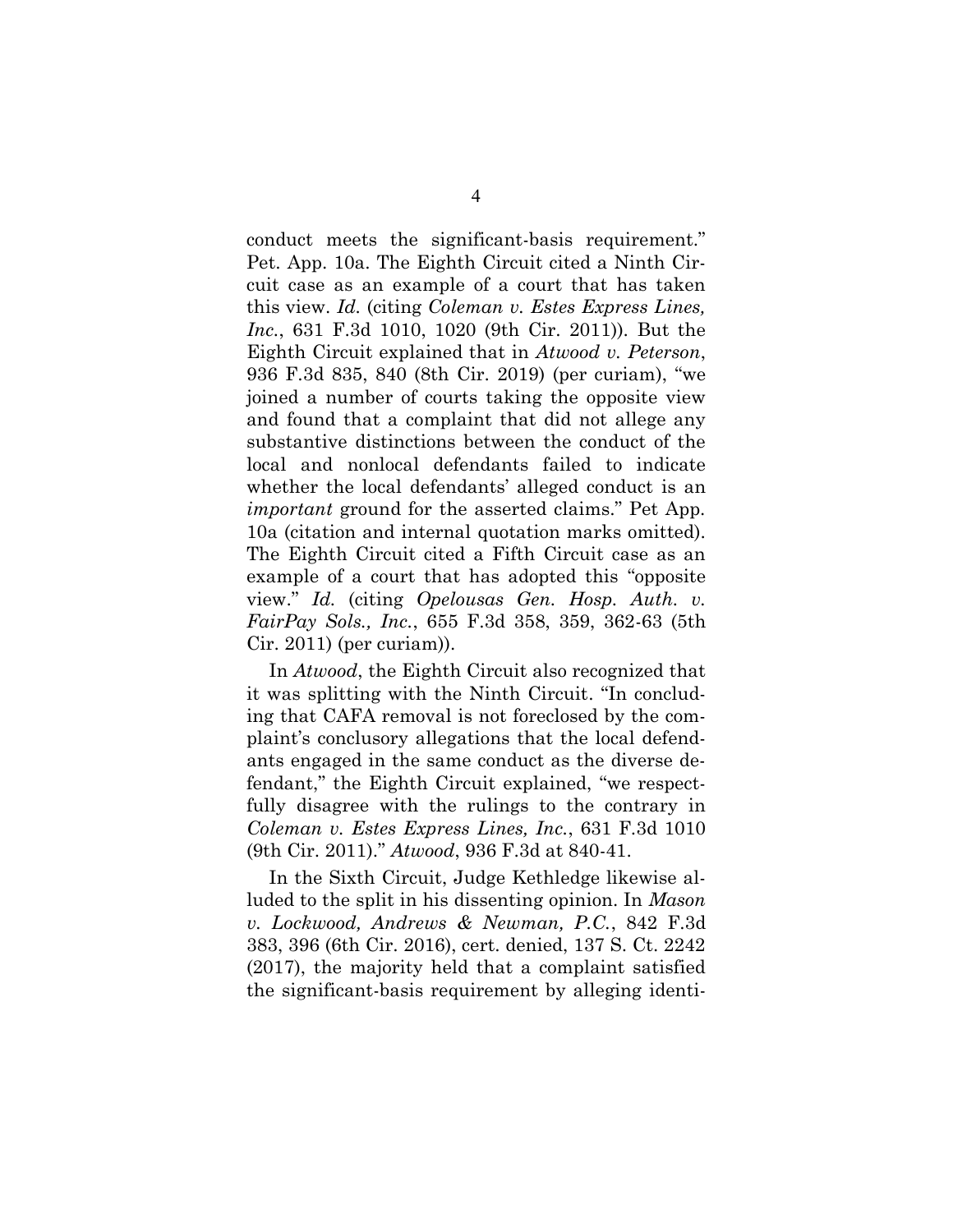conduct meets the significant-basis requirement." Pet. App. 10a. The Eighth Circuit cited a Ninth Circuit case as an example of a court that has taken this view. *Id.* (citing *Coleman v. Estes Express Lines, Inc.*, 631 F.3d 1010, 1020 (9th Cir. 2011)). But the Eighth Circuit explained that in *Atwood v. Peterson*, 936 F.3d 835, 840 (8th Cir. 2019) (per curiam), "we joined a number of courts taking the opposite view and found that a complaint that did not allege any substantive distinctions between the conduct of the local and nonlocal defendants failed to indicate whether the local defendants' alleged conduct is an *important* ground for the asserted claims." Pet App. 10a (citation and internal quotation marks omitted). The Eighth Circuit cited a Fifth Circuit case as an example of a court that has adopted this "opposite view." *Id.* (citing *Opelousas Gen. Hosp. Auth. v. FairPay Sols., Inc.*, 655 F.3d 358, 359, 362-63 (5th Cir. 2011) (per curiam)).

In *Atwood*, the Eighth Circuit also recognized that it was splitting with the Ninth Circuit. "In concluding that CAFA removal is not foreclosed by the complaint's conclusory allegations that the local defendants engaged in the same conduct as the diverse defendant," the Eighth Circuit explained, "we respectfully disagree with the rulings to the contrary in *Coleman v. Estes Express Lines, Inc.*, 631 F.3d 1010 (9th Cir. 2011)." *Atwood*, 936 F.3d at 840-41.

In the Sixth Circuit, Judge Kethledge likewise alluded to the split in his dissenting opinion. In *Mason v. Lockwood, Andrews & Newman, P.C.*, 842 F.3d 383, 396 (6th Cir. 2016), cert. denied, 137 S. Ct. 2242 (2017), the majority held that a complaint satisfied the significant-basis requirement by alleging identi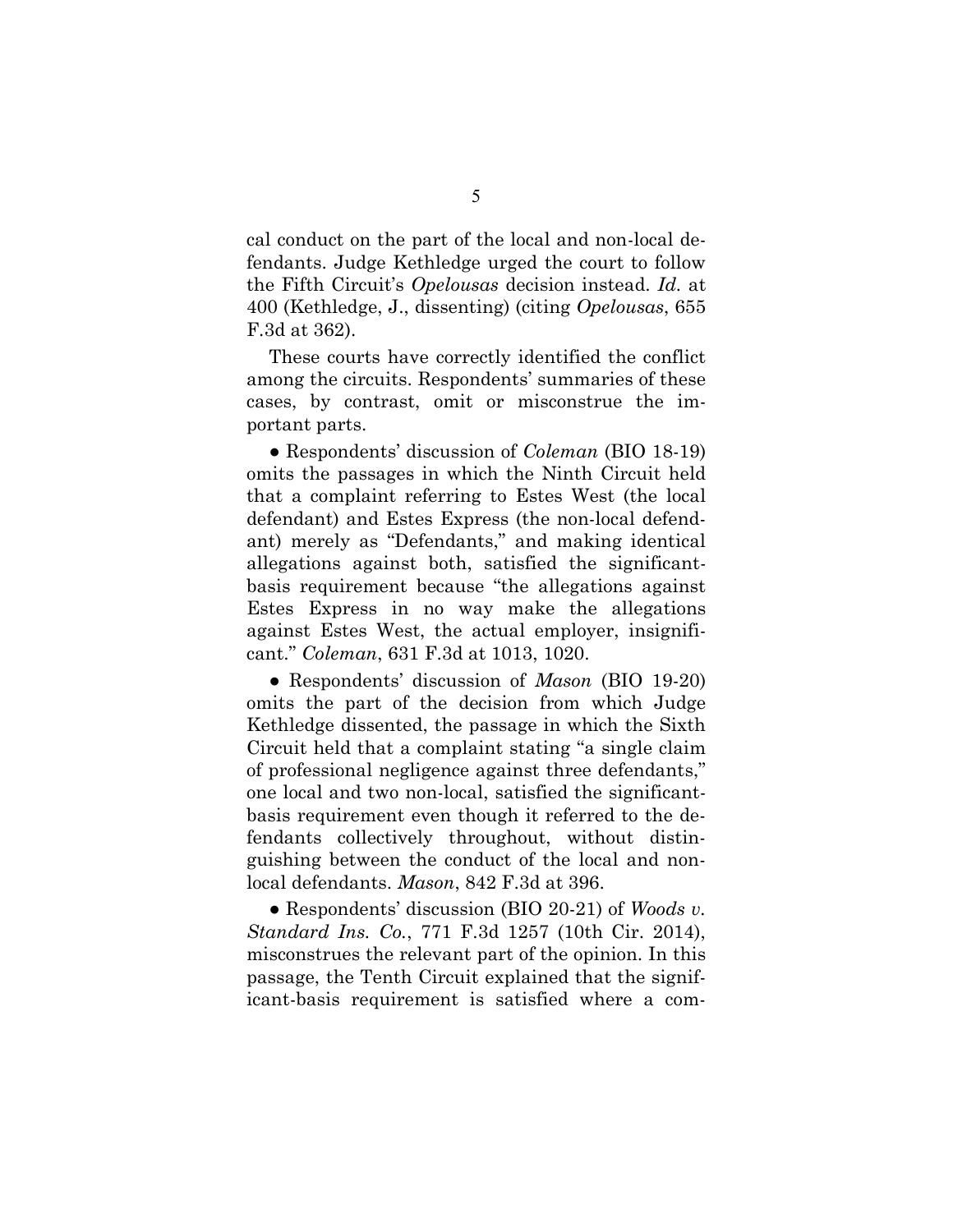cal conduct on the part of the local and non-local defendants. Judge Kethledge urged the court to follow the Fifth Circuit's *Opelousas* decision instead. *Id.* at 400 (Kethledge, J., dissenting) (citing *Opelousas*, 655 F.3d at 362).

These courts have correctly identified the conflict among the circuits. Respondents' summaries of these cases, by contrast, omit or misconstrue the important parts.

● Respondents' discussion of *Coleman* (BIO 18-19) omits the passages in which the Ninth Circuit held that a complaint referring to Estes West (the local defendant) and Estes Express (the non-local defendant) merely as "Defendants," and making identical allegations against both, satisfied the significantbasis requirement because "the allegations against Estes Express in no way make the allegations against Estes West, the actual employer, insignificant." *Coleman*, 631 F.3d at 1013, 1020.

● Respondents' discussion of *Mason* (BIO 19-20) omits the part of the decision from which Judge Kethledge dissented, the passage in which the Sixth Circuit held that a complaint stating "a single claim of professional negligence against three defendants," one local and two non-local, satisfied the significantbasis requirement even though it referred to the defendants collectively throughout, without distinguishing between the conduct of the local and nonlocal defendants. *Mason*, 842 F.3d at 396.

● Respondents' discussion (BIO 20-21) of *Woods v. Standard Ins. Co.*, 771 F.3d 1257 (10th Cir. 2014), misconstrues the relevant part of the opinion. In this passage, the Tenth Circuit explained that the significant-basis requirement is satisfied where a com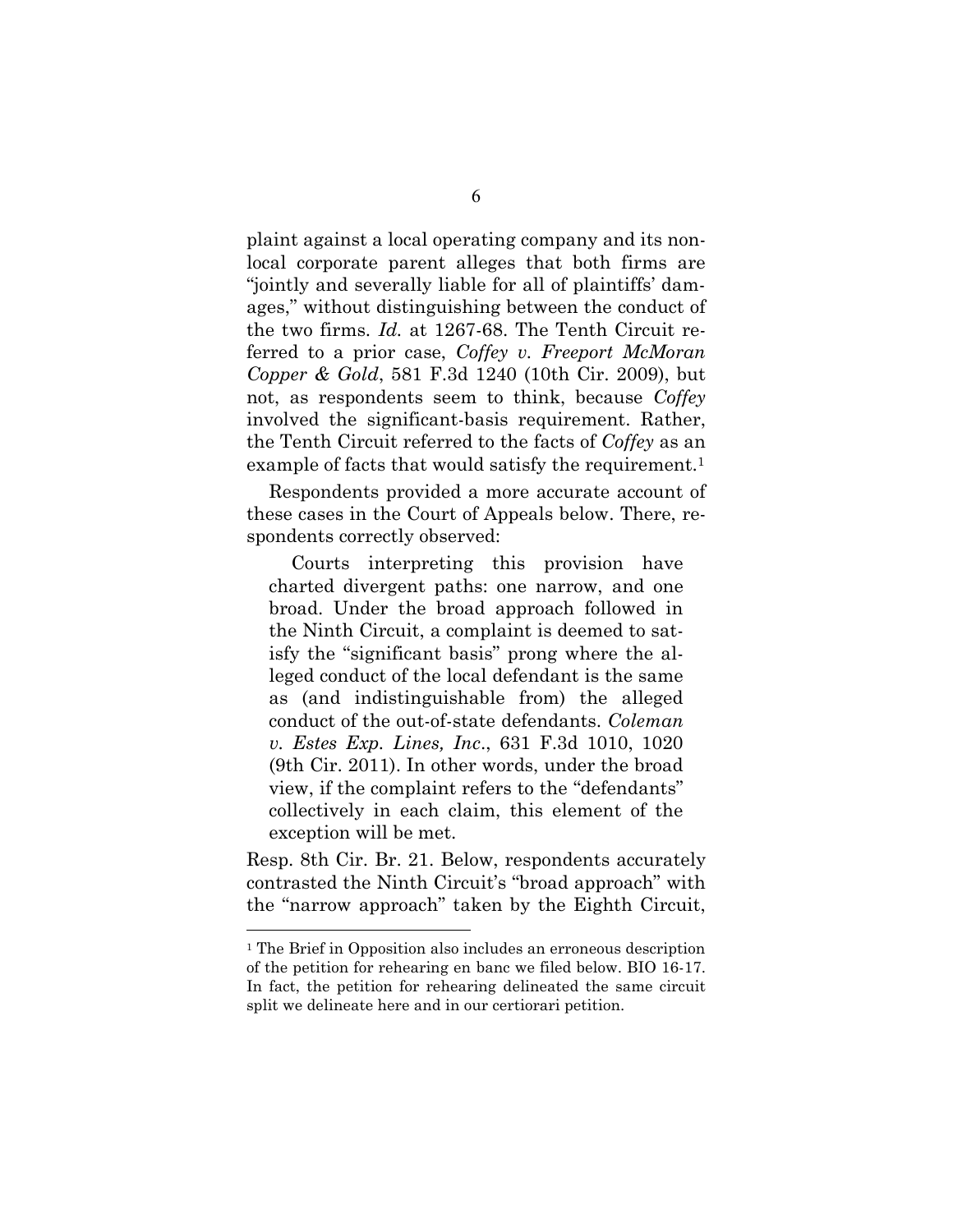plaint against a local operating company and its nonlocal corporate parent alleges that both firms are "jointly and severally liable for all of plaintiffs' damages," without distinguishing between the conduct of the two firms. *Id.* at 1267-68. The Tenth Circuit referred to a prior case, *Coffey v. Freeport McMoran Copper & Gold*, 581 F.3d 1240 (10th Cir. 2009), but not, as respondents seem to think, because *Coffey* involved the significant-basis requirement. Rather, the Tenth Circuit referred to the facts of *Coffey* as an example of facts that would satisfy the requirement.<sup>1</sup>

Respondents provided a more accurate account of these cases in the Court of Appeals below. There, respondents correctly observed:

Courts interpreting this provision have charted divergent paths: one narrow, and one broad. Under the broad approach followed in the Ninth Circuit, a complaint is deemed to satisfy the "significant basis" prong where the alleged conduct of the local defendant is the same as (and indistinguishable from) the alleged conduct of the out-of-state defendants. *Coleman v. Estes Exp. Lines, Inc*., 631 F.3d 1010, 1020 (9th Cir. 2011). In other words, under the broad view, if the complaint refers to the "defendants" collectively in each claim, this element of the exception will be met.

Resp. 8th Cir. Br. 21. Below, respondents accurately contrasted the Ninth Circuit's "broad approach" with the "narrow approach" taken by the Eighth Circuit,

<sup>&</sup>lt;sup>1</sup> The Brief in Opposition also includes an erroneous description of the petition for rehearing en banc we filed below. BIO 16-17. In fact, the petition for rehearing delineated the same circuit split we delineate here and in our certiorari petition.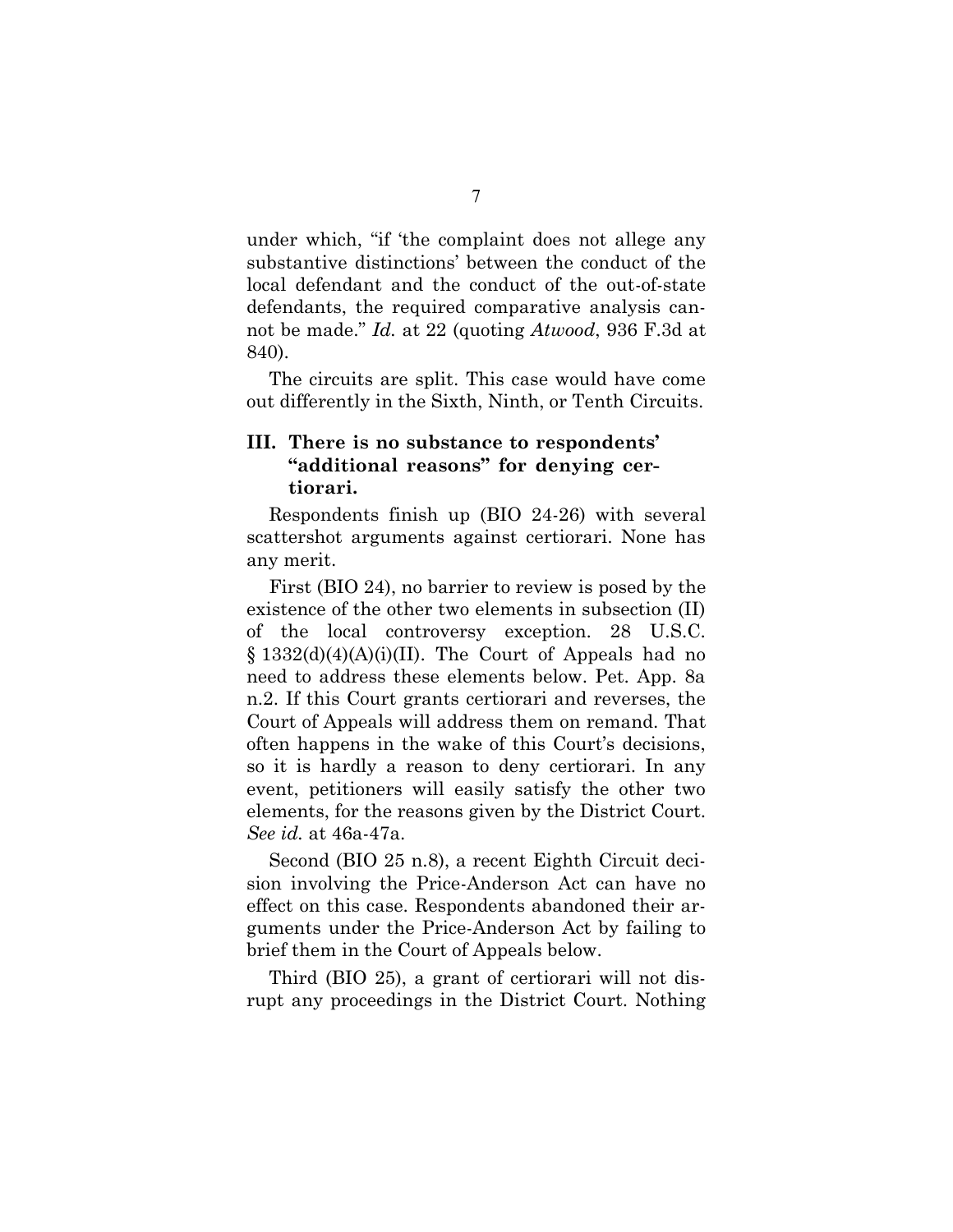under which, "if 'the complaint does not allege any substantive distinctions' between the conduct of the local defendant and the conduct of the out-of-state defendants, the required comparative analysis cannot be made." *Id.* at 22 (quoting *Atwood*, 936 F.3d at 840).

The circuits are split. This case would have come out differently in the Sixth, Ninth, or Tenth Circuits.

## **III. There is no substance to respondents' "additional reasons" for denying certiorari.**

Respondents finish up (BIO 24-26) with several scattershot arguments against certiorari. None has any merit.

First (BIO 24), no barrier to review is posed by the existence of the other two elements in subsection (II) of the local controversy exception. 28 U.S.C.  $\S 1332(d)(4)(A)(i)(II)$ . The Court of Appeals had no need to address these elements below. Pet. App. 8a n.2. If this Court grants certiorari and reverses, the Court of Appeals will address them on remand. That often happens in the wake of this Court's decisions, so it is hardly a reason to deny certiorari. In any event, petitioners will easily satisfy the other two elements, for the reasons given by the District Court. *See id.* at 46a-47a.

Second (BIO 25 n.8), a recent Eighth Circuit decision involving the Price-Anderson Act can have no effect on this case. Respondents abandoned their arguments under the Price-Anderson Act by failing to brief them in the Court of Appeals below.

Third (BIO 25), a grant of certiorari will not disrupt any proceedings in the District Court. Nothing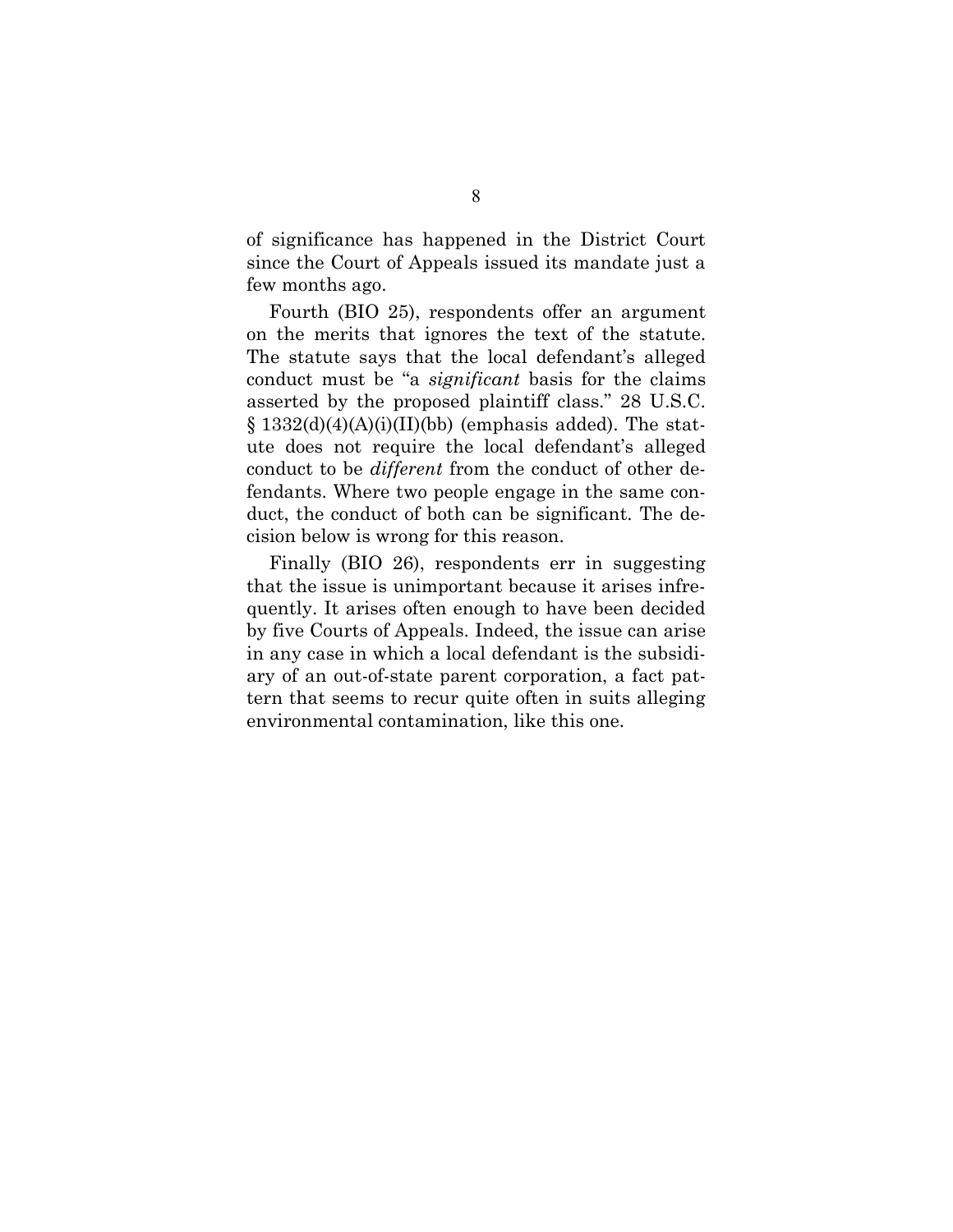of significance has happened in the District Court since the Court of Appeals issued its mandate just a few months ago.

Fourth (BIO 25), respondents offer an argument on the merits that ignores the text of the statute. The statute says that the local defendant's alleged conduct must be "a *significant* basis for the claims asserted by the proposed plaintiff class." 28 U.S.C.  $\S$  1332(d)(4)(A)(i)(II)(bb) (emphasis added). The statute does not require the local defendant's alleged conduct to be *different* from the conduct of other defendants. Where two people engage in the same conduct, the conduct of both can be significant. The decision below is wrong for this reason.

Finally (BIO 26), respondents err in suggesting that the issue is unimportant because it arises infrequently. It arises often enough to have been decided by five Courts of Appeals. Indeed, the issue can arise in any case in which a local defendant is the subsidiary of an out-of-state parent corporation, a fact pattern that seems to recur quite often in suits alleging environmental contamination, like this one.